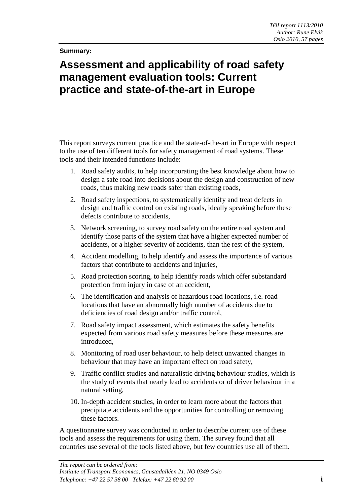## **Summary:**

## **Assessment and applicability of road safety management evaluation tools: Current practice and state-of-the-art in Europe**

This report surveys current practice and the state-of-the-art in Europe with respect to the use of ten different tools for safety management of road systems. These tools and their intended functions include:

- 1. Road safety audits, to help incorporating the best knowledge about how to design a safe road into decisions about the design and construction of new roads, thus making new roads safer than existing roads,
- 2. Road safety inspections, to systematically identify and treat defects in design and traffic control on existing roads, ideally speaking before these defects contribute to accidents,
- 3. Network screening, to survey road safety on the entire road system and identify those parts of the system that have a higher expected number of accidents, or a higher severity of accidents, than the rest of the system,
- 4. Accident modelling, to help identify and assess the importance of various factors that contribute to accidents and injuries,
- 5. Road protection scoring, to help identify roads which offer substandard protection from injury in case of an accident,
- 6. The identification and analysis of hazardous road locations, i.e. road locations that have an abnormally high number of accidents due to deficiencies of road design and/or traffic control,
- 7. Road safety impact assessment, which estimates the safety benefits expected from various road safety measures before these measures are introduced,
- 8. Monitoring of road user behaviour, to help detect unwanted changes in behaviour that may have an important effect on road safety,
- 9. Traffic conflict studies and naturalistic driving behaviour studies, which is the study of events that nearly lead to accidents or of driver behaviour in a natural setting,
- 10. In-depth accident studies, in order to learn more about the factors that precipitate accidents and the opportunities for controlling or removing these factors.

A questionnaire survey was conducted in order to describe current use of these tools and assess the requirements for using them. The survey found that all countries use several of the tools listed above, but few countries use all of them.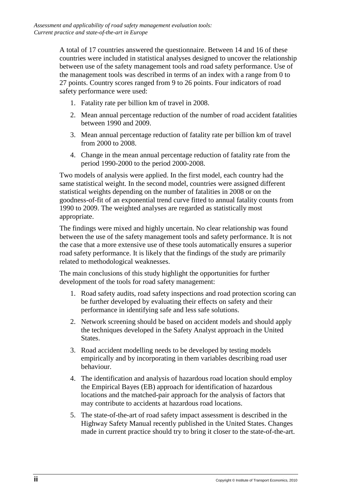A total of 17 countries answered the questionnaire. Between 14 and 16 of these countries were included in statistical analyses designed to uncover the relationship between use of the safety management tools and road safety performance. Use of the management tools was described in terms of an index with a range from 0 to 27 points. Country scores ranged from 9 to 26 points. Four indicators of road safety performance were used:

- 1. Fatality rate per billion km of travel in 2008.
- 2. Mean annual percentage reduction of the number of road accident fatalities between 1990 and 2009.
- 3. Mean annual percentage reduction of fatality rate per billion km of travel from 2000 to 2008.
- 4. Change in the mean annual percentage reduction of fatality rate from the period 1990-2000 to the period 2000-2008.

Two models of analysis were applied. In the first model, each country had the same statistical weight. In the second model, countries were assigned different statistical weights depending on the number of fatalities in 2008 or on the goodness-of-fit of an exponential trend curve fitted to annual fatality counts from 1990 to 2009. The weighted analyses are regarded as statistically most appropriate.

The findings were mixed and highly uncertain. No clear relationship was found between the use of the safety management tools and safety performance. It is not the case that a more extensive use of these tools automatically ensures a superior road safety performance. It is likely that the findings of the study are primarily related to methodological weaknesses.

The main conclusions of this study highlight the opportunities for further development of the tools for road safety management:

- 1. Road safety audits, road safety inspections and road protection scoring can be further developed by evaluating their effects on safety and their performance in identifying safe and less safe solutions.
- 2. Network screening should be based on accident models and should apply the techniques developed in the Safety Analyst approach in the United States.
- 3. Road accident modelling needs to be developed by testing models empirically and by incorporating in them variables describing road user behaviour.
- 4. The identification and analysis of hazardous road location should employ the Empirical Bayes (EB) approach for identification of hazardous locations and the matched-pair approach for the analysis of factors that may contribute to accidents at hazardous road locations.
- 5. The state-of-the-art of road safety impact assessment is described in the Highway Safety Manual recently published in the United States. Changes made in current practice should try to bring it closer to the state-of-the-art.